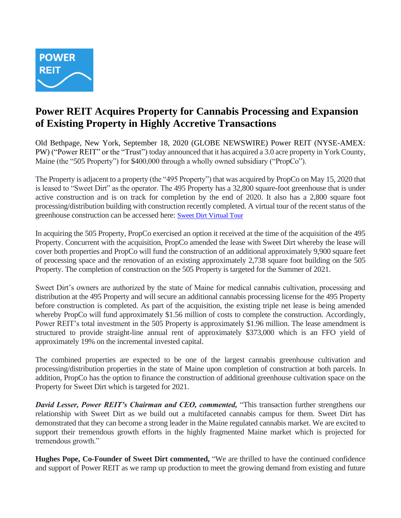

# **Power REIT Acquires Property for Cannabis Processing and Expansion of Existing Property in Highly Accretive Transactions**

Old Bethpage, New York, September 18, 2020 (GLOBE NEWSWIRE) Power REIT (NYSE-AMEX: PW) ("Power REIT" or the "Trust") today announced that it has acquired a 3.0 acre property in York County, Maine (the "505 Property") for \$400,000 through a wholly owned subsidiary ("PropCo").

The Property is adjacent to a property (the "495 Property") that was acquired by PropCo on May 15, 2020 that is leased to "Sweet Dirt" as the operator. The 495 Property has a 32,800 square-foot greenhouse that is under active construction and is on track for completion by the end of 2020. It also has a 2,800 square foot processing/distribution building with construction recently completed. A virtual tour of the recent status of the greenhouse construction can be accessed here: [Sweet Dirt Virtual Tour](https://nam12.safelinks.protection.outlook.com/?url=https%3A%2F%2Fmy.matterport.com%2Fshow%2F%3Fm%3DeiEcMv4SUd9&data=02%7C01%7Crhenry%40sweetdirt.com%7C62e9074d4b084ca5bf2608d84f5b37c0%7C6424d32a53e044918926dc2bc8d7576f%7C1%7C0%7C637346600498817364&sdata=IXatPFdfCyoM5dFl6sp%2Bmuzh1ByzrNwR0hSg6Csrp2s%3D&reserved=0)

In acquiring the 505 Property, PropCo exercised an option it received at the time of the acquisition of the 495 Property. Concurrent with the acquisition, PropCo amended the lease with Sweet Dirt whereby the lease will cover both properties and PropCo will fund the construction of an additional approximately 9,900 square feet of processing space and the renovation of an existing approximately 2,738 square foot building on the 505 Property. The completion of construction on the 505 Property is targeted for the Summer of 2021.

Sweet Dirt's owners are authorized by the state of Maine for medical cannabis cultivation, processing and distribution at the 495 Property and will secure an additional cannabis processing license for the 495 Property before construction is completed. As part of the acquisition, the existing triple net lease is being amended whereby PropCo will fund approximately \$1.56 million of costs to complete the construction. Accordingly, Power REIT's total investment in the 505 Property is approximately \$1.96 million. The lease amendment is structured to provide straight-line annual rent of approximately \$373,000 which is an FFO yield of approximately 19% on the incremental invested capital.

The combined properties are expected to be one of the largest cannabis greenhouse cultivation and processing/distribution properties in the state of Maine upon completion of construction at both parcels. In addition, PropCo has the option to finance the construction of additional greenhouse cultivation space on the Property for Sweet Dirt which is targeted for 2021.

*David Lesser, Power REIT's Chairman and CEO, commented,* "This transaction further strengthens our relationship with Sweet Dirt as we build out a multifaceted cannabis campus for them. Sweet Dirt has demonstrated that they can become a strong leader in the Maine regulated cannabis market. We are excited to support their tremendous growth efforts in the highly fragmented Maine market which is projected for tremendous growth."

**Hughes Pope, Co-Founder of Sweet Dirt commented,** "We are thrilled to have the continued confidence and support of Power REIT as we ramp up production to meet the growing demand from existing and future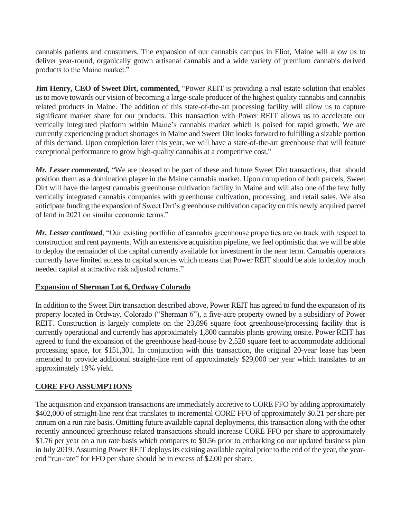cannabis patients and consumers. The expansion of our cannabis campus in Eliot, Maine will allow us to deliver year-round, organically grown artisanal cannabis and a wide variety of premium cannabis derived products to the Maine market."

**Jim Henry, CEO of Sweet Dirt, commented,** "Power REIT is providing a real estate solution that enables us to move towards our vision of becoming a large-scale producer of the highest quality cannabis and cannabis related products in Maine. The addition of this state-of-the-art processing facility will allow us to capture significant market share for our products. This transaction with Power REIT allows us to accelerate our vertically integrated platform within Maine's cannabis market which is poised for rapid growth. We are currently experiencing product shortages in Maine and Sweet Dirt looks forward to fulfilling a sizable portion of this demand. Upon completion later this year, we will have a state-of-the-art greenhouse that will feature exceptional performance to grow high-quality cannabis at a competitive cost."

*Mr. Lesser commented,* "We are pleased to be part of these and future Sweet Dirt transactions, that should position them as a domination player in the Maine cannabis market. Upon completion of both parcels, Sweet Dirt will have the largest cannabis greenhouse cultivation facility in Maine and will also one of the few fully vertically integrated cannabis companies with greenhouse cultivation, processing, and retail sales. We also anticipate funding the expansion of Sweet Dirt's greenhouse cultivation capacity on this newly acquired parcel of land in 2021 on similar economic terms."

*Mr. Lesser continued*, "Our existing portfolio of cannabis greenhouse properties are on track with respect to construction and rent payments. With an extensive acquisition pipeline, we feel optimistic that we will be able to deploy the remainder of the capital currently available for investment in the near term. Cannabis operators currently have limited access to capital sources which means that Power REIT should be able to deploy much needed capital at attractive risk adjusted returns."

## **Expansion of Sherman Lot 6, Ordway Colorado**

In addition to the Sweet Dirt transaction described above, Power REIT has agreed to fund the expansion of its property located in Ordway, Colorado ("Sherman 6"), a five-acre property owned by a subsidiary of Power REIT. Construction is largely complete on the 23,896 square foot greenhouse/processing facility that is currently operational and currently has approximately 1,800 cannabis plants growing onsite. Power REIT has agreed to fund the expansion of the greenhouse head-house by 2,520 square feet to accommodate additional processing space, for \$151,301. In conjunction with this transaction, the original 20-year lease has been amended to provide additional straight-line rent of approximately \$29,000 per year which translates to an approximately 19% yield.

## **CORE FFO ASSUMPTIONS**

The acquisition and expansion transactions are immediately accretive to CORE FFO by adding approximately \$402,000 of straight-line rent that translates to incremental CORE FFO of approximately \$0.21 per share per annum on a run rate basis. Omitting future available capital deployments, this transaction along with the other recently announced greenhouse related transactions should increase CORE FFO per share to approximately \$1.76 per year on a run rate basis which compares to \$0.56 prior to embarking on our updated business plan in July 2019. Assuming Power REIT deploys its existing available capital prior to the end of the year, the yearend "run-rate" for FFO per share should be in excess of \$2.00 per share.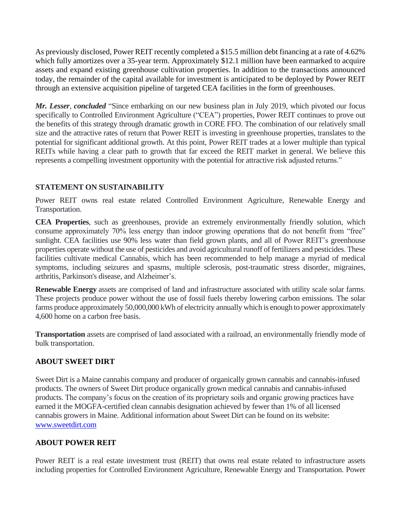As previously disclosed, Power REIT recently completed a \$15.5 million debt financing at a rate of 4.62% which fully amortizes over a 35-year term. Approximately \$12.1 million have been earmarked to acquire assets and expand existing greenhouse cultivation properties. In addition to the transactions announced today, the remainder of the capital available for investment is anticipated to be deployed by Power REIT through an extensive acquisition pipeline of targeted CEA facilities in the form of greenhouses.

*Mr. Lesser*, *concluded* "Since embarking on our new business plan in July 2019, which pivoted our focus specifically to Controlled Environment Agriculture ("CEA") properties, Power REIT continues to prove out the benefits of this strategy through dramatic growth in CORE FFO. The combination of our relatively small size and the attractive rates of return that Power REIT is investing in greenhouse properties, translates to the potential for significant additional growth. At this point, Power REIT trades at a lower multiple than typical REITs while having a clear path to growth that far exceed the REIT market in general. We believe this represents a compelling investment opportunity with the potential for attractive risk adjusted returns."

## **STATEMENT ON SUSTAINABILITY**

Power REIT owns real estate related Controlled Environment Agriculture, Renewable Energy and Transportation.

**CEA Properties**, such as greenhouses, provide an extremely environmentally friendly solution, which consume approximately 70% less energy than indoor growing operations that do not benefit from "free" sunlight. CEA facilities use 90% less water than field grown plants, and all of Power REIT's greenhouse properties operate without the use of pesticides and avoid agricultural runoff of fertilizers and pesticides. These facilities cultivate medical Cannabis, which has been recommended to help manage a myriad of medical symptoms, including seizures and spasms, multiple sclerosis, post-traumatic stress disorder, migraines, arthritis, Parkinson's disease, and Alzheimer's.

**Renewable Energy** assets are comprised of land and infrastructure associated with utility scale solar farms. These projects produce power without the use of fossil fuels thereby lowering carbon emissions. The solar farms produce approximately 50,000,000 kWh of electricity annually which is enough to power approximately 4,600 home on a carbon free basis.

**Transportation** assets are comprised of land associated with a railroad, an environmentally friendly mode of bulk transportation.

## **ABOUT SWEET DIRT**

Sweet Dirt is a Maine cannabis company and producer of organically grown cannabis and cannabis-infused products. The owners of Sweet Dirt produce organically grown medical cannabis and cannabis-infused products. The company's focus on the creation of its proprietary soils and organic growing practices have earned it the MOGFA-certified clean cannabis designation achieved by fewer than 1% of all licensed cannabis growers in Maine. Additional information about Sweet Dirt can be found on its website: [www.sweetdirt.com](http://www.sweetdirt.com/)

## **ABOUT POWER REIT**

Power REIT is a real estate investment trust (REIT) that owns real estate related to infrastructure assets including properties for Controlled Environment Agriculture, Renewable Energy and Transportation. Power